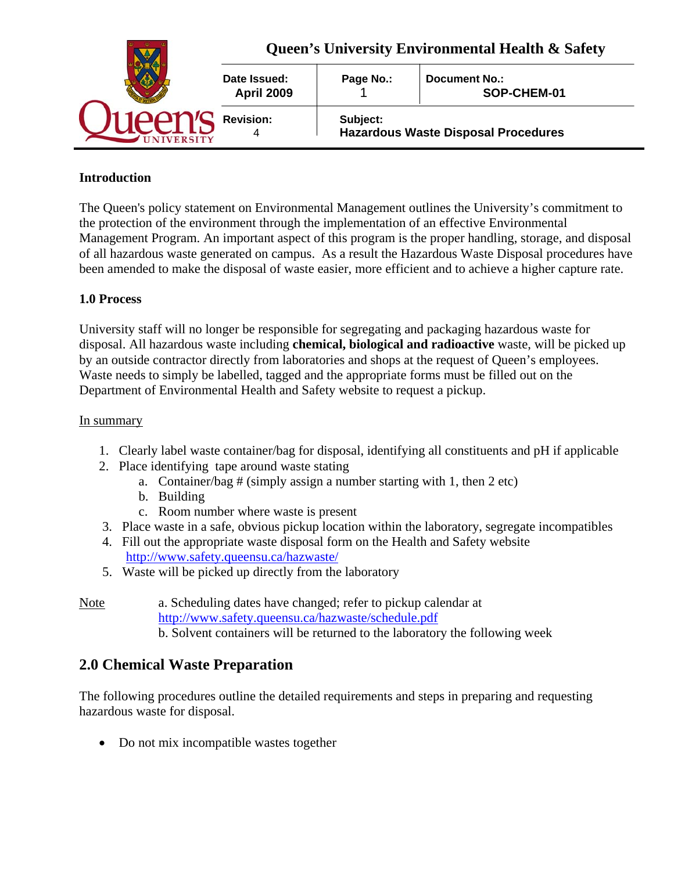|  | Queen's University Environmental Health & Safety |           |                                            |  |
|--|--------------------------------------------------|-----------|--------------------------------------------|--|
|  | Date Issued:<br><b>April 2009</b>                | Page No.: | Document No.:<br>SOP-CHEM-01               |  |
|  | <b>Revision:</b>                                 | Subject:  | <b>Hazardous Waste Disposal Procedures</b> |  |

## **Introduction**

The Queen's policy statement on Environmental Management outlines the University's commitment to the protection of the environment through the implementation of an effective Environmental Management Program. An important aspect of this program is the proper handling, storage, and disposal of all hazardous waste generated on campus. As a result the Hazardous Waste Disposal procedures have been amended to make the disposal of waste easier, more efficient and to achieve a higher capture rate.

## **1.0 Process**

University staff will no longer be responsible for segregating and packaging hazardous waste for disposal. All hazardous waste including **chemical, biological and radioactive** waste, will be picked up by an outside contractor directly from laboratories and shops at the request of Queen's employees. Waste needs to simply be labelled, tagged and the appropriate forms must be filled out on the Department of Environmental Health and Safety website to request a pickup.

#### In summary

- 1. Clearly label waste container/bag for disposal, identifying all constituents and pH if applicable
- 2. Place identifying tape around waste stating
	- a. Container/bag  $#$  (simply assign a number starting with 1, then 2 etc)
	- b. Building
	- c. Room number where waste is present
- 3. Place waste in a safe, obvious pickup location within the laboratory, segregate incompatibles
- 4. Fill out the appropriate waste disposal form on the Health and Safety website http://www.safety.queensu.ca/hazwaste/
- 5. Waste will be picked up directly from the laboratory

## Note a. Scheduling dates have changed; refer to pickup calendar at http://www.safety.queensu.ca/hazwaste/schedule.pdf b. Solvent containers will be returned to the laboratory the following week

# **2.0 Chemical Waste Preparation**

The following procedures outline the detailed requirements and steps in preparing and requesting hazardous waste for disposal.

• Do not mix incompatible wastes together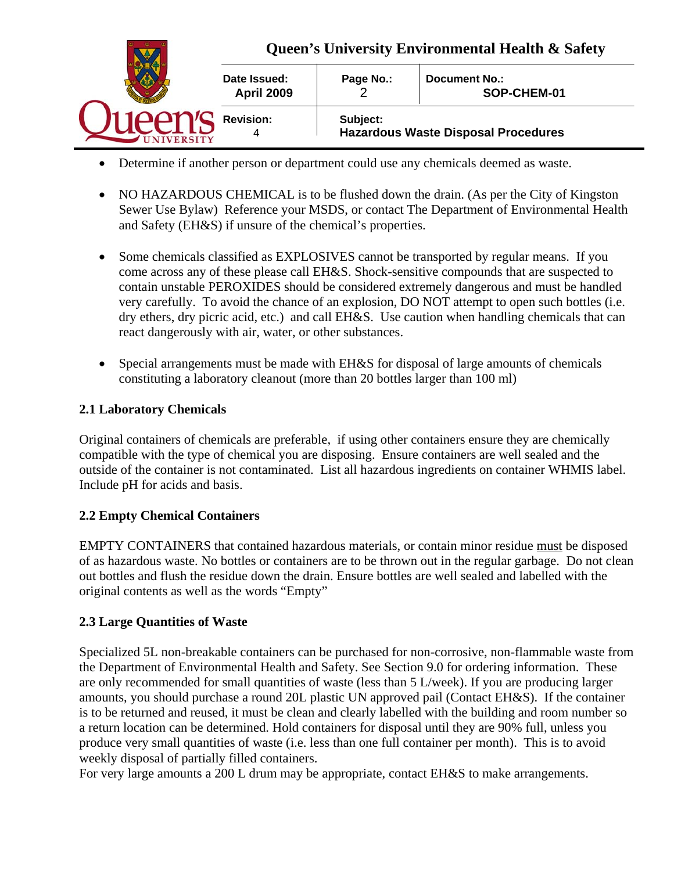

- Determine if another person or department could use any chemicals deemed as waste.
- NO HAZARDOUS CHEMICAL is to be flushed down the drain. (As per the City of Kingston Sewer Use Bylaw) Reference your MSDS, or contact The Department of Environmental Health and Safety (EH&S) if unsure of the chemical's properties.
- Some chemicals classified as EXPLOSIVES cannot be transported by regular means. If you come across any of these please call EH&S. Shock-sensitive compounds that are suspected to contain unstable PEROXIDES should be considered extremely dangerous and must be handled very carefully. To avoid the chance of an explosion, DO NOT attempt to open such bottles (i.e. dry ethers, dry picric acid, etc.) and call EH&S. Use caution when handling chemicals that can react dangerously with air, water, or other substances.
- Special arrangements must be made with EH&S for disposal of large amounts of chemicals constituting a laboratory cleanout (more than 20 bottles larger than 100 ml)

### **2.1 Laboratory Chemicals**

Original containers of chemicals are preferable, if using other containers ensure they are chemically compatible with the type of chemical you are disposing. Ensure containers are well sealed and the outside of the container is not contaminated. List all hazardous ingredients on container WHMIS label. Include pH for acids and basis.

### **2.2 Empty Chemical Containers**

EMPTY CONTAINERS that contained hazardous materials, or contain minor residue must be disposed of as hazardous waste. No bottles or containers are to be thrown out in the regular garbage. Do not clean out bottles and flush the residue down the drain. Ensure bottles are well sealed and labelled with the original contents as well as the words "Empty"

### **2.3 Large Quantities of Waste**

Specialized 5L non-breakable containers can be purchased for non-corrosive, non-flammable waste from the Department of Environmental Health and Safety. See Section 9.0 for ordering information. These are only recommended for small quantities of waste (less than 5 L/week). If you are producing larger amounts, you should purchase a round 20L plastic UN approved pail (Contact EH&S). If the container is to be returned and reused, it must be clean and clearly labelled with the building and room number so a return location can be determined. Hold containers for disposal until they are 90% full, unless you produce very small quantities of waste (i.e. less than one full container per month). This is to avoid weekly disposal of partially filled containers.

For very large amounts a 200 L drum may be appropriate, contact EH&S to make arrangements.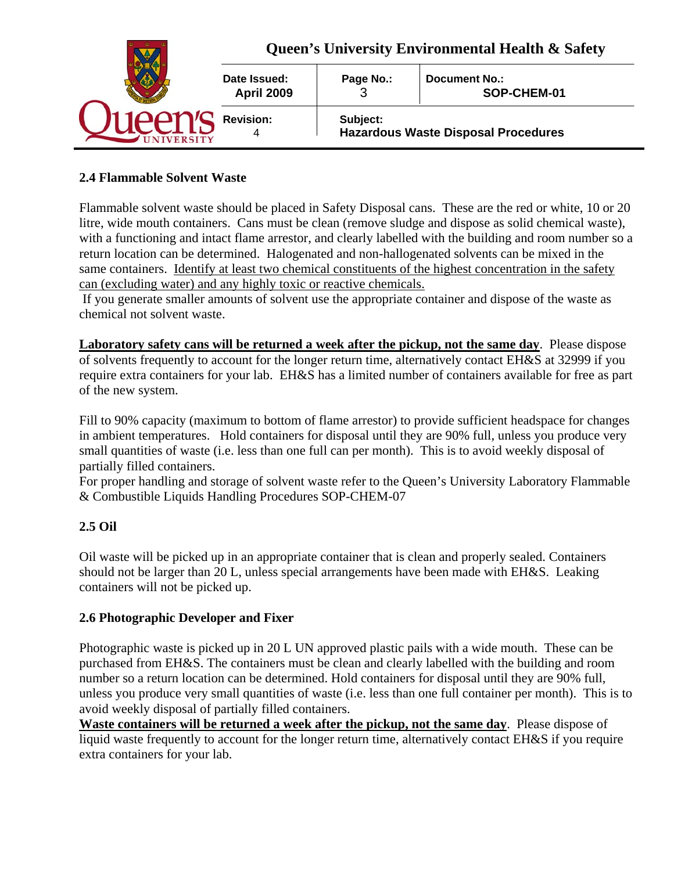|  | Queen's University Environmental Health & Safety |                                                        |                              |  |
|--|--------------------------------------------------|--------------------------------------------------------|------------------------------|--|
|  | Date Issued:<br><b>April 2009</b>                | Page No.:                                              | Document No.:<br>SOP-CHEM-01 |  |
|  | <b>Revision:</b>                                 | Subject:<br><b>Hazardous Waste Disposal Procedures</b> |                              |  |

## **2.4 Flammable Solvent Waste**

Flammable solvent waste should be placed in Safety Disposal cans. These are the red or white, 10 or 20 litre, wide mouth containers. Cans must be clean (remove sludge and dispose as solid chemical waste), with a functioning and intact flame arrestor, and clearly labelled with the building and room number so a return location can be determined. Halogenated and non-hallogenated solvents can be mixed in the same containers. Identify at least two chemical constituents of the highest concentration in the safety can (excluding water) and any highly toxic or reactive chemicals.

 If you generate smaller amounts of solvent use the appropriate container and dispose of the waste as chemical not solvent waste.

**Laboratory safety cans will be returned a week after the pickup, not the same day**. Please dispose of solvents frequently to account for the longer return time, alternatively contact EH&S at 32999 if you require extra containers for your lab. EH&S has a limited number of containers available for free as part of the new system.

Fill to 90% capacity (maximum to bottom of flame arrestor) to provide sufficient headspace for changes in ambient temperatures. Hold containers for disposal until they are 90% full, unless you produce very small quantities of waste (i.e. less than one full can per month). This is to avoid weekly disposal of partially filled containers.

For proper handling and storage of solvent waste refer to the Queen's University Laboratory Flammable & Combustible Liquids Handling Procedures SOP-CHEM-07

## **2.5 Oil**

Oil waste will be picked up in an appropriate container that is clean and properly sealed. Containers should not be larger than 20 L, unless special arrangements have been made with EH&S. Leaking containers will not be picked up.

### **2.6 Photographic Developer and Fixer**

Photographic waste is picked up in 20 L UN approved plastic pails with a wide mouth. These can be purchased from EH&S. The containers must be clean and clearly labelled with the building and room number so a return location can be determined. Hold containers for disposal until they are 90% full, unless you produce very small quantities of waste (i.e. less than one full container per month). This is to avoid weekly disposal of partially filled containers.

**Waste containers will be returned a week after the pickup, not the same day**. Please dispose of liquid waste frequently to account for the longer return time, alternatively contact EH&S if you require extra containers for your lab.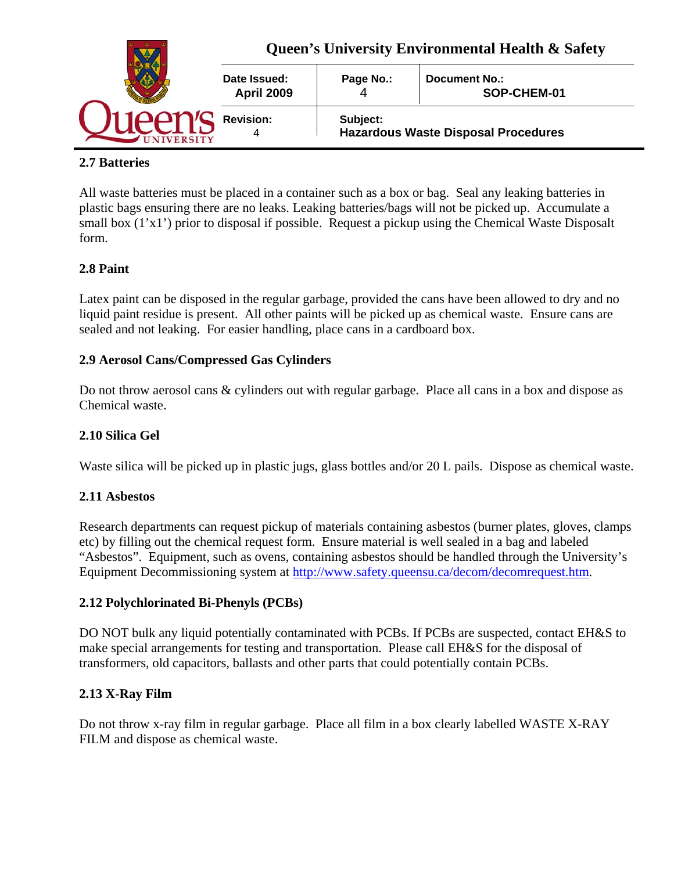

### **2.7 Batteries**

All waste batteries must be placed in a container such as a box or bag. Seal any leaking batteries in plastic bags ensuring there are no leaks. Leaking batteries/bags will not be picked up. Accumulate a small box (1'x1') prior to disposal if possible. Request a pickup using the Chemical Waste Disposalt form.

## **2.8 Paint**

Latex paint can be disposed in the regular garbage, provided the cans have been allowed to dry and no liquid paint residue is present. All other paints will be picked up as chemical waste. Ensure cans are sealed and not leaking. For easier handling, place cans in a cardboard box.

### **2.9 Aerosol Cans/Compressed Gas Cylinders**

Do not throw aerosol cans & cylinders out with regular garbage. Place all cans in a box and dispose as Chemical waste.

### **2.10 Silica Gel**

Waste silica will be picked up in plastic jugs, glass bottles and/or 20 L pails. Dispose as chemical waste.

#### **2.11 Asbestos**

Research departments can request pickup of materials containing asbestos (burner plates, gloves, clamps etc) by filling out the chemical request form. Ensure material is well sealed in a bag and labeled "Asbestos". Equipment, such as ovens, containing asbestos should be handled through the University's Equipment Decommissioning system at http://www.safety.queensu.ca/decom/decomrequest.htm.

#### **2.12 Polychlorinated Bi-Phenyls (PCBs)**

DO NOT bulk any liquid potentially contaminated with PCBs. If PCBs are suspected, contact EH&S to make special arrangements for testing and transportation. Please call EH&S for the disposal of transformers, old capacitors, ballasts and other parts that could potentially contain PCBs.

### **2.13 X-Ray Film**

Do not throw x-ray film in regular garbage. Place all film in a box clearly labelled WASTE X-RAY FILM and dispose as chemical waste.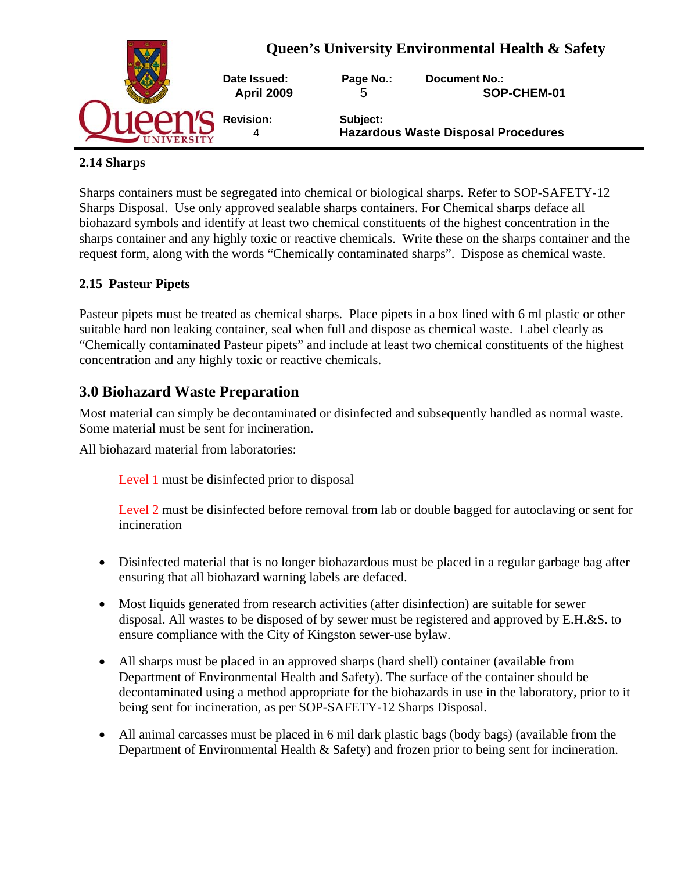

## **2.14 Sharps**

Sharps containers must be segregated into chemical or biological sharps. Refer to SOP-SAFETY-12 Sharps Disposal. Use only approved sealable sharps containers. For Chemical sharps deface all biohazard symbols and identify at least two chemical constituents of the highest concentration in the sharps container and any highly toxic or reactive chemicals. Write these on the sharps container and the request form, along with the words "Chemically contaminated sharps". Dispose as chemical waste.

## **2.15 Pasteur Pipets**

Pasteur pipets must be treated as chemical sharps. Place pipets in a box lined with 6 ml plastic or other suitable hard non leaking container, seal when full and dispose as chemical waste. Label clearly as "Chemically contaminated Pasteur pipets" and include at least two chemical constituents of the highest concentration and any highly toxic or reactive chemicals.

# **3.0 Biohazard Waste Preparation**

Most material can simply be decontaminated or disinfected and subsequently handled as normal waste. Some material must be sent for incineration.

All biohazard material from laboratories:

Level 1 must be disinfected prior to disposal

Level 2 must be disinfected before removal from lab or double bagged for autoclaving or sent for incineration

- Disinfected material that is no longer biohazardous must be placed in a regular garbage bag after ensuring that all biohazard warning labels are defaced.
- Most liquids generated from research activities (after disinfection) are suitable for sewer disposal. All wastes to be disposed of by sewer must be registered and approved by E.H.&S. to ensure compliance with the City of Kingston sewer-use bylaw.
- All sharps must be placed in an approved sharps (hard shell) container (available from Department of Environmental Health and Safety). The surface of the container should be decontaminated using a method appropriate for the biohazards in use in the laboratory, prior to it being sent for incineration, as per SOP-SAFETY-12 Sharps Disposal.
- All animal carcasses must be placed in 6 mil dark plastic bags (body bags) (available from the Department of Environmental Health & Safety) and frozen prior to being sent for incineration.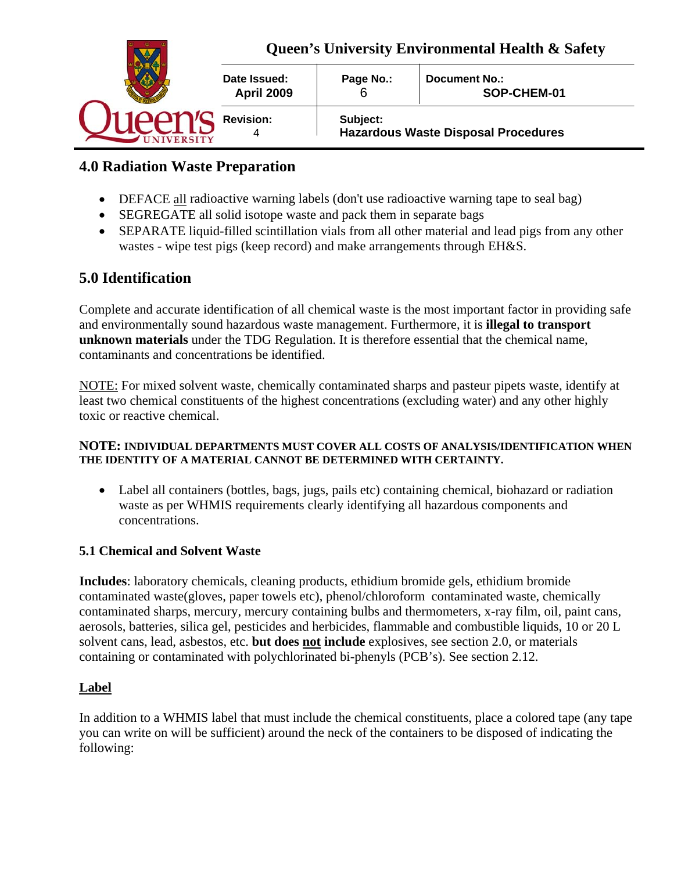

# **4.0 Radiation Waste Preparation**

- DEFACE all radioactive warning labels (don't use radioactive warning tape to seal bag)
- SEGREGATE all solid isotope waste and pack them in separate bags
- SEPARATE liquid-filled scintillation vials from all other material and lead pigs from any other wastes - wipe test pigs (keep record) and make arrangements through EH&S.

# **5.0 Identification**

Complete and accurate identification of all chemical waste is the most important factor in providing safe and environmentally sound hazardous waste management. Furthermore, it is **illegal to transport unknown materials** under the TDG Regulation. It is therefore essential that the chemical name, contaminants and concentrations be identified.

NOTE: For mixed solvent waste, chemically contaminated sharps and pasteur pipets waste, identify at least two chemical constituents of the highest concentrations (excluding water) and any other highly toxic or reactive chemical.

#### **NOTE: INDIVIDUAL DEPARTMENTS MUST COVER ALL COSTS OF ANALYSIS/IDENTIFICATION WHEN THE IDENTITY OF A MATERIAL CANNOT BE DETERMINED WITH CERTAINTY.**

 Label all containers (bottles, bags, jugs, pails etc) containing chemical, biohazard or radiation waste as per WHMIS requirements clearly identifying all hazardous components and concentrations.

### **5.1 Chemical and Solvent Waste**

**Includes**: laboratory chemicals, cleaning products, ethidium bromide gels, ethidium bromide contaminated waste(gloves, paper towels etc), phenol/chloroform contaminated waste, chemically contaminated sharps, mercury, mercury containing bulbs and thermometers, x-ray film, oil, paint cans, aerosols, batteries, silica gel, pesticides and herbicides, flammable and combustible liquids, 10 or 20 L solvent cans, lead, asbestos, etc. **but does not include** explosives, see section 2.0, or materials containing or contaminated with polychlorinated bi-phenyls (PCB's). See section 2.12.

### **Label**

In addition to a WHMIS label that must include the chemical constituents, place a colored tape (any tape you can write on will be sufficient) around the neck of the containers to be disposed of indicating the following: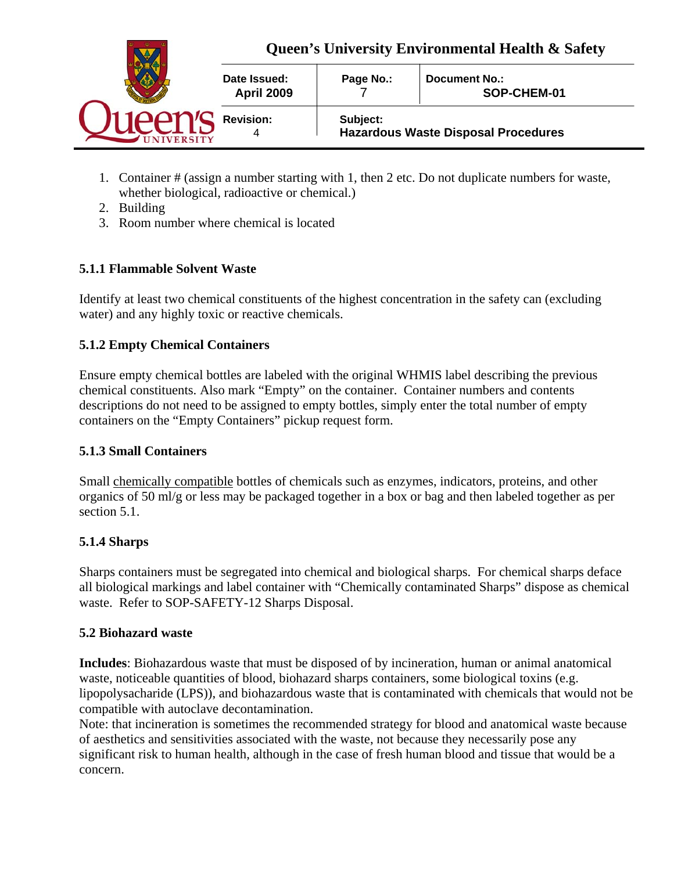

- 1. Container # (assign a number starting with 1, then 2 etc. Do not duplicate numbers for waste, whether biological, radioactive or chemical.)
- 2. Building
- 3. Room number where chemical is located

## **5.1.1 Flammable Solvent Waste**

Identify at least two chemical constituents of the highest concentration in the safety can (excluding water) and any highly toxic or reactive chemicals.

## **5.1.2 Empty Chemical Containers**

Ensure empty chemical bottles are labeled with the original WHMIS label describing the previous chemical constituents. Also mark "Empty" on the container. Container numbers and contents descriptions do not need to be assigned to empty bottles, simply enter the total number of empty containers on the "Empty Containers" pickup request form.

### **5.1.3 Small Containers**

Small chemically compatible bottles of chemicals such as enzymes, indicators, proteins, and other organics of 50 ml/g or less may be packaged together in a box or bag and then labeled together as per section 5.1.

### **5.1.4 Sharps**

Sharps containers must be segregated into chemical and biological sharps. For chemical sharps deface all biological markings and label container with "Chemically contaminated Sharps" dispose as chemical waste. Refer to SOP-SAFETY-12 Sharps Disposal.

### **5.2 Biohazard waste**

**Includes**: Biohazardous waste that must be disposed of by incineration, human or animal anatomical waste, noticeable quantities of blood, biohazard sharps containers, some biological toxins (e.g. lipopolysacharide (LPS)), and biohazardous waste that is contaminated with chemicals that would not be compatible with autoclave decontamination.

Note: that incineration is sometimes the recommended strategy for blood and anatomical waste because of aesthetics and sensitivities associated with the waste, not because they necessarily pose any significant risk to human health, although in the case of fresh human blood and tissue that would be a concern.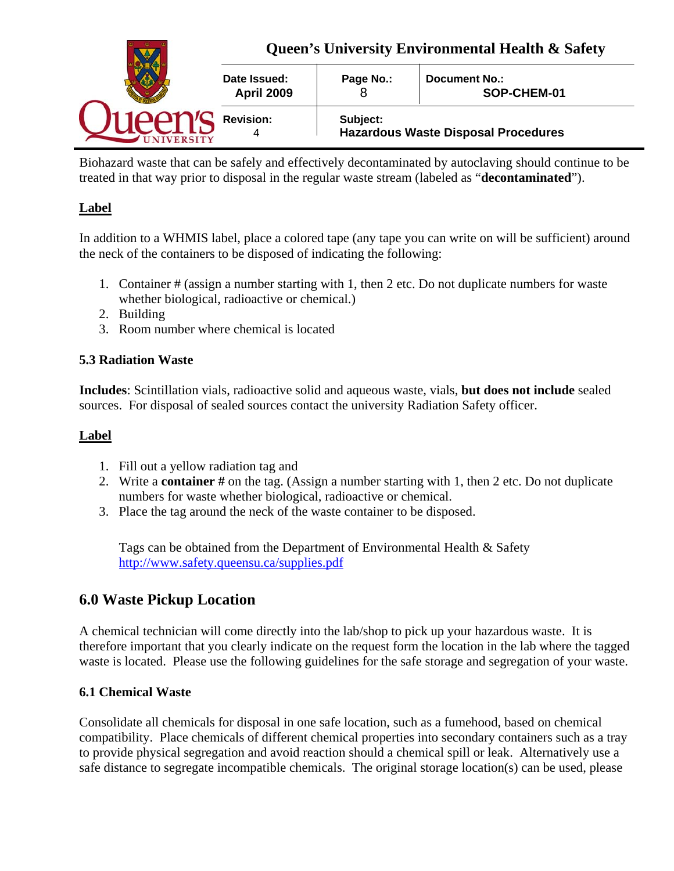

Biohazard waste that can be safely and effectively decontaminated by autoclaving should continue to be treated in that way prior to disposal in the regular waste stream (labeled as "**decontaminated**").

## **Label**

In addition to a WHMIS label, place a colored tape (any tape you can write on will be sufficient) around the neck of the containers to be disposed of indicating the following:

- 1. Container # (assign a number starting with 1, then 2 etc. Do not duplicate numbers for waste whether biological, radioactive or chemical.)
- 2. Building
- 3. Room number where chemical is located

## **5.3 Radiation Waste**

**Includes**: Scintillation vials, radioactive solid and aqueous waste, vials, **but does not include** sealed sources. For disposal of sealed sources contact the university Radiation Safety officer.

### **Label**

- 1. Fill out a yellow radiation tag and
- 2. Write a **container #** on the tag. (Assign a number starting with 1, then 2 etc. Do not duplicate numbers for waste whether biological, radioactive or chemical.
- 3. Place the tag around the neck of the waste container to be disposed.

Tags can be obtained from the Department of Environmental Health & Safety http://www.safety.queensu.ca/supplies.pdf

## **6.0 Waste Pickup Location**

A chemical technician will come directly into the lab/shop to pick up your hazardous waste. It is therefore important that you clearly indicate on the request form the location in the lab where the tagged waste is located. Please use the following guidelines for the safe storage and segregation of your waste.

## **6.1 Chemical Waste**

Consolidate all chemicals for disposal in one safe location, such as a fumehood, based on chemical compatibility. Place chemicals of different chemical properties into secondary containers such as a tray to provide physical segregation and avoid reaction should a chemical spill or leak. Alternatively use a safe distance to segregate incompatible chemicals. The original storage location(s) can be used, please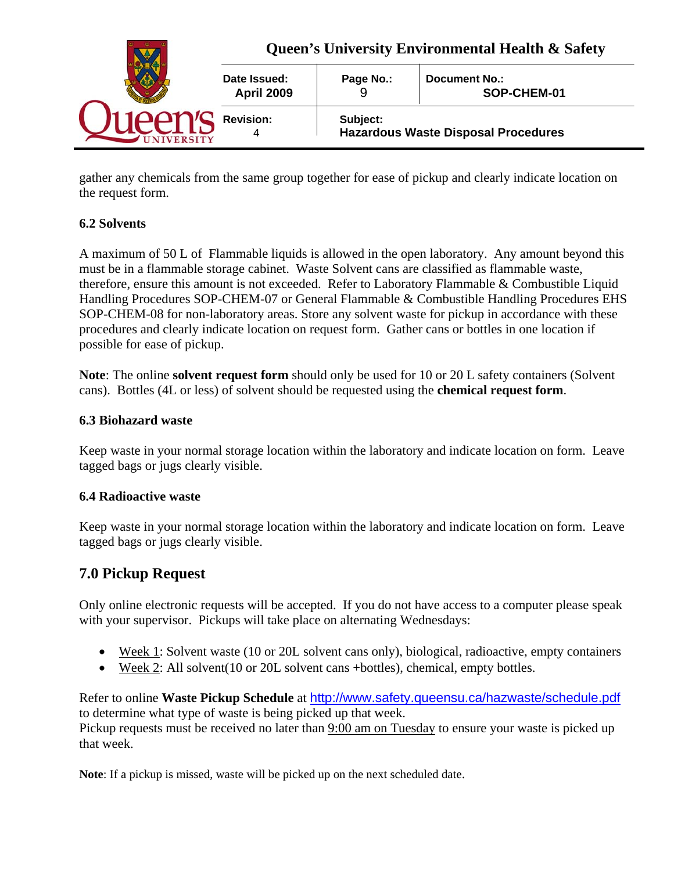

gather any chemicals from the same group together for ease of pickup and clearly indicate location on the request form.

## **6.2 Solvents**

A maximum of 50 L of Flammable liquids is allowed in the open laboratory. Any amount beyond this must be in a flammable storage cabinet. Waste Solvent cans are classified as flammable waste, therefore, ensure this amount is not exceeded. Refer to Laboratory Flammable & Combustible Liquid Handling Procedures SOP-CHEM-07 or General Flammable & Combustible Handling Procedures EHS SOP-CHEM-08 for non-laboratory areas. Store any solvent waste for pickup in accordance with these procedures and clearly indicate location on request form. Gather cans or bottles in one location if possible for ease of pickup.

**Note**: The online **solvent request form** should only be used for 10 or 20 L safety containers (Solvent cans). Bottles (4L or less) of solvent should be requested using the **chemical request form**.

### **6.3 Biohazard waste**

Keep waste in your normal storage location within the laboratory and indicate location on form. Leave tagged bags or jugs clearly visible.

#### **6.4 Radioactive waste**

Keep waste in your normal storage location within the laboratory and indicate location on form. Leave tagged bags or jugs clearly visible.

## **7.0 Pickup Request**

Only online electronic requests will be accepted. If you do not have access to a computer please speak with your supervisor. Pickups will take place on alternating Wednesdays:

- Week 1: Solvent waste (10 or 20L solvent cans only), biological, radioactive, empty containers
- Week 2: All solvent(10 or 20L solvent cans +bottles), chemical, empty bottles.

Refer to online **Waste Pickup Schedule** at http://www.safety.queensu.ca/hazwaste/schedule.pdf to determine what type of waste is being picked up that week.

Pickup requests must be received no later than 9:00 am on Tuesday to ensure your waste is picked up that week.

**Note**: If a pickup is missed, waste will be picked up on the next scheduled date.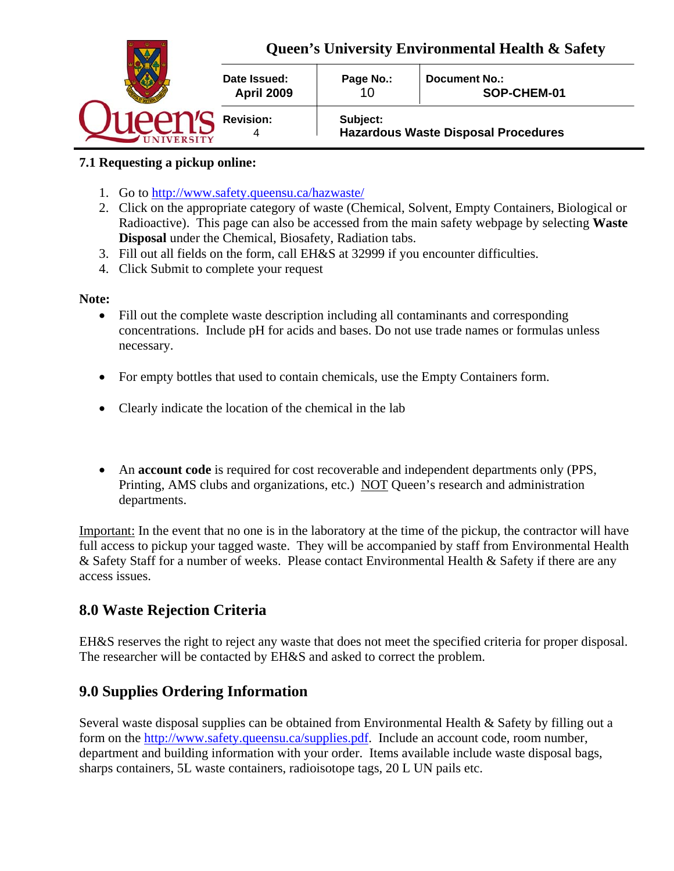

## **7.1 Requesting a pickup online:**

- 1. Go to http://www.safety.queensu.ca/hazwaste/
- 2. Click on the appropriate category of waste (Chemical, Solvent, Empty Containers, Biological or Radioactive). This page can also be accessed from the main safety webpage by selecting **Waste Disposal** under the Chemical, Biosafety, Radiation tabs.
- 3. Fill out all fields on the form, call EH&S at 32999 if you encounter difficulties.
- 4. Click Submit to complete your request

#### **Note:**

- Fill out the complete waste description including all contaminants and corresponding concentrations. Include pH for acids and bases. Do not use trade names or formulas unless necessary.
- For empty bottles that used to contain chemicals, use the Empty Containers form.
- Clearly indicate the location of the chemical in the lab
- An **account code** is required for cost recoverable and independent departments only (PPS, Printing, AMS clubs and organizations, etc.) NOT Queen's research and administration departments.

Important: In the event that no one is in the laboratory at the time of the pickup, the contractor will have full access to pickup your tagged waste. They will be accompanied by staff from Environmental Health & Safety Staff for a number of weeks. Please contact Environmental Health & Safety if there are any access issues.

## **8.0 Waste Rejection Criteria**

EH&S reserves the right to reject any waste that does not meet the specified criteria for proper disposal. The researcher will be contacted by EH&S and asked to correct the problem.

# **9.0 Supplies Ordering Information**

Several waste disposal supplies can be obtained from Environmental Health & Safety by filling out a form on the http://www.safety.queensu.ca/supplies.pdf. Include an account code, room number, department and building information with your order. Items available include waste disposal bags, sharps containers, 5L waste containers, radioisotope tags, 20 L UN pails etc.